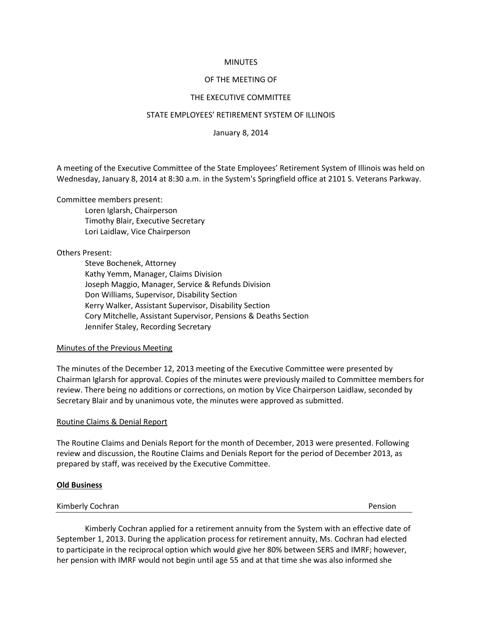## **MINUTES**

# OF THE MEETING OF

# THE EXECUTIVE COMMITTEE

## STATE EMPLOYEES' RETIREMENT SYSTEM OF ILLINOIS

January 8, 2014

A meeting of the Executive Committee of the State Employees' Retirement System of Illinois was held on Wednesday, January 8, 2014 at 8:30 a.m. in the System's Springfield office at 2101 S. Veterans Parkway.

Committee members present:

Loren Iglarsh, Chairperson Timothy Blair, Executive Secretary Lori Laidlaw, Vice Chairperson

Others Present:

Steve Bochenek, Attorney Kathy Yemm, Manager, Claims Division Joseph Maggio, Manager, Service & Refunds Division Don Williams, Supervisor, Disability Section Kerry Walker, Assistant Supervisor, Disability Section Cory Mitchelle, Assistant Supervisor, Pensions & Deaths Section Jennifer Staley, Recording Secretary

## Minutes of the Previous Meeting

The minutes of the December 12, 2013 meeting of the Executive Committee were presented by Chairman Iglarsh for approval. Copies of the minutes were previously mailed to Committee members for review. There being no additions or corrections, on motion by Vice Chairperson Laidlaw, seconded by Secretary Blair and by unanimous vote, the minutes were approved as submitted.

## Routine Claims & Denial Report

The Routine Claims and Denials Report for the month of December, 2013 were presented. Following review and discussion, the Routine Claims and Denials Report for the period of December 2013, as prepared by staff, was received by the Executive Committee.

## **Old Business**

| Kimberly Cochran | Pension |
|------------------|---------|
|                  |         |

Kimberly Cochran applied for a retirement annuity from the System with an effective date of September 1, 2013. During the application process for retirement annuity, Ms. Cochran had elected to participate in the reciprocal option which would give her 80% between SERS and IMRF; however, her pension with IMRF would not begin until age 55 and at that time she was also informed she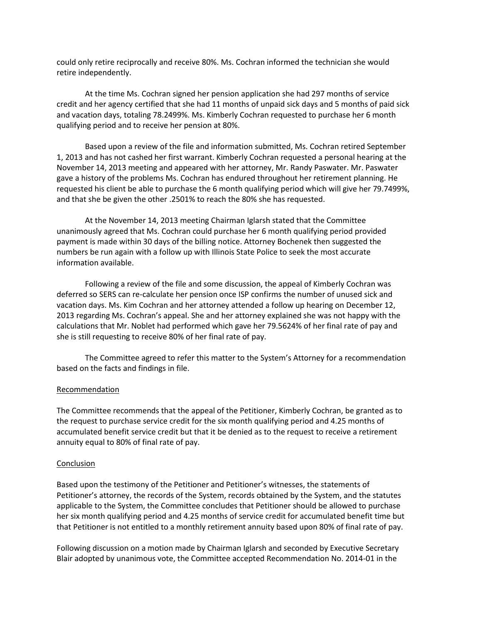could only retire reciprocally and receive 80%. Ms. Cochran informed the technician she would retire independently.

At the time Ms. Cochran signed her pension application she had 297 months of service credit and her agency certified that she had 11 months of unpaid sick days and 5 months of paid sick and vacation days, totaling 78.2499%. Ms. Kimberly Cochran requested to purchase her 6 month qualifying period and to receive her pension at 80%.

Based upon a review of the file and information submitted, Ms. Cochran retired September 1, 2013 and has not cashed her first warrant. Kimberly Cochran requested a personal hearing at the November 14, 2013 meeting and appeared with her attorney, Mr. Randy Paswater. Mr. Paswater gave a history of the problems Ms. Cochran has endured throughout her retirement planning. He requested his client be able to purchase the 6 month qualifying period which will give her 79.7499%, and that she be given the other .2501% to reach the 80% she has requested.

At the November 14, 2013 meeting Chairman Iglarsh stated that the Committee unanimously agreed that Ms. Cochran could purchase her 6 month qualifying period provided payment is made within 30 days of the billing notice. Attorney Bochenek then suggested the numbers be run again with a follow up with Illinois State Police to seek the most accurate information available.

Following a review of the file and some discussion, the appeal of Kimberly Cochran was deferred so SERS can re-calculate her pension once ISP confirms the number of unused sick and vacation days. Ms. Kim Cochran and her attorney attended a follow up hearing on December 12, 2013 regarding Ms. Cochran's appeal. She and her attorney explained she was not happy with the calculations that Mr. Noblet had performed which gave her 79.5624% of her final rate of pay and she is still requesting to receive 80% of her final rate of pay.

The Committee agreed to refer this matter to the System's Attorney for a recommendation based on the facts and findings in file.

## Recommendation

The Committee recommends that the appeal of the Petitioner, Kimberly Cochran, be granted as to the request to purchase service credit for the six month qualifying period and 4.25 months of accumulated benefit service credit but that it be denied as to the request to receive a retirement annuity equal to 80% of final rate of pay.

## Conclusion

Based upon the testimony of the Petitioner and Petitioner's witnesses, the statements of Petitioner's attorney, the records of the System, records obtained by the System, and the statutes applicable to the System, the Committee concludes that Petitioner should be allowed to purchase her six month qualifying period and 4.25 months of service credit for accumulated benefit time but that Petitioner is not entitled to a monthly retirement annuity based upon 80% of final rate of pay.

Following discussion on a motion made by Chairman Iglarsh and seconded by Executive Secretary Blair adopted by unanimous vote, the Committee accepted Recommendation No. 2014-01 in the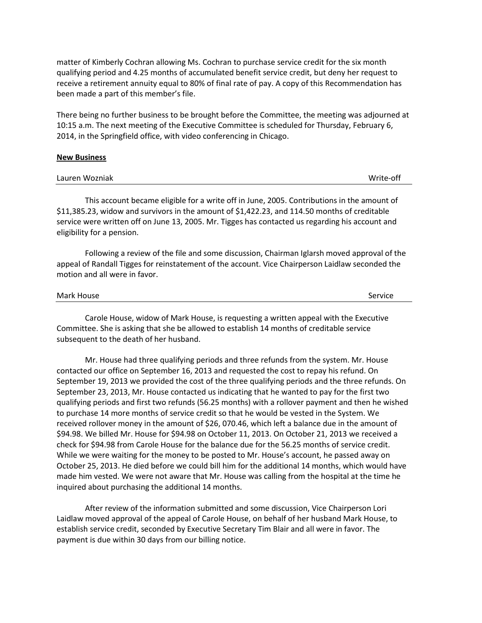matter of Kimberly Cochran allowing Ms. Cochran to purchase service credit for the six month qualifying period and 4.25 months of accumulated benefit service credit, but deny her request to receive a retirement annuity equal to 80% of final rate of pay. A copy of this Recommendation has been made a part of this member's file.

There being no further business to be brought before the Committee, the meeting was adjourned at 10:15 a.m. The next meeting of the Executive Committee is scheduled for Thursday, February 6, 2014, in the Springfield office, with video conferencing in Chicago.

#### **New Business**

| Write-off |
|-----------|
|           |

This account became eligible for a write off in June, 2005. Contributions in the amount of \$11,385.23, widow and survivors in the amount of \$1,422.23, and 114.50 months of creditable service were written off on June 13, 2005. Mr. Tigges has contacted us regarding his account and eligibility for a pension.

Following a review of the file and some discussion, Chairman Iglarsh moved approval of the appeal of Randall Tigges for reinstatement of the account. Vice Chairperson Laidlaw seconded the motion and all were in favor.

#### Mark House Service Service Service Service Service Service Service Service Service

Carole House, widow of Mark House, is requesting a written appeal with the Executive Committee. She is asking that she be allowed to establish 14 months of creditable service subsequent to the death of her husband.

Mr. House had three qualifying periods and three refunds from the system. Mr. House contacted our office on September 16, 2013 and requested the cost to repay his refund. On September 19, 2013 we provided the cost of the three qualifying periods and the three refunds. On September 23, 2013, Mr. House contacted us indicating that he wanted to pay for the first two qualifying periods and first two refunds (56.25 months) with a rollover payment and then he wished to purchase 14 more months of service credit so that he would be vested in the System. We received rollover money in the amount of \$26, 070.46, which left a balance due in the amount of \$94.98. We billed Mr. House for \$94.98 on October 11, 2013. On October 21, 2013 we received a check for \$94.98 from Carole House for the balance due for the 56.25 months of service credit. While we were waiting for the money to be posted to Mr. House's account, he passed away on October 25, 2013. He died before we could bill him for the additional 14 months, which would have made him vested. We were not aware that Mr. House was calling from the hospital at the time he inquired about purchasing the additional 14 months.

After review of the information submitted and some discussion, Vice Chairperson Lori Laidlaw moved approval of the appeal of Carole House, on behalf of her husband Mark House, to establish service credit, seconded by Executive Secretary Tim Blair and all were in favor. The payment is due within 30 days from our billing notice.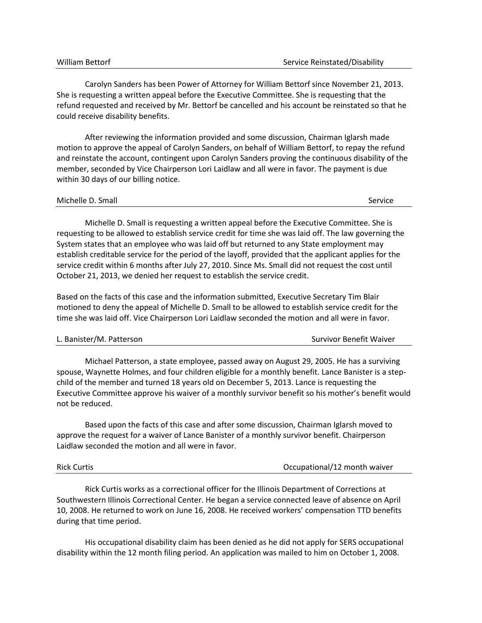| <b>William Bettorf</b> |  |  |
|------------------------|--|--|
|------------------------|--|--|

Carolyn Sanders has been Power of Attorney for William Bettorf since November 21, 2013. She is requesting a written appeal before the Executive Committee. She is requesting that the refund requested and received by Mr. Bettorf be cancelled and his account be reinstated so that he could receive disability benefits.

After reviewing the information provided and some discussion, Chairman Iglarsh made motion to approve the appeal of Carolyn Sanders, on behalf of William Bettorf, to repay the refund and reinstate the account, contingent upon Carolyn Sanders proving the continuous disability of the member, seconded by Vice Chairperson Lori Laidlaw and all were in favor. The payment is due within 30 days of our billing notice.

#### Michelle D. Small Service **Service** Service **Service** Service **Service** Service **Service** Service

Michelle D. Small is requesting a written appeal before the Executive Committee. She is requesting to be allowed to establish service credit for time she was laid off. The law governing the System states that an employee who was laid off but returned to any State employment may establish creditable service for the period of the layoff, provided that the applicant applies for the service credit within 6 months after July 27, 2010. Since Ms. Small did not request the cost until October 21, 2013, we denied her request to establish the service credit.

Based on the facts of this case and the information submitted, Executive Secretary Tim Blair motioned to deny the appeal of Michelle D. Small to be allowed to establish service credit for the time she was laid off. Vice Chairperson Lori Laidlaw seconded the motion and all were in favor.

| L. Banister/M. Patterson | Survivor Benefit Waiver |
|--------------------------|-------------------------|
|                          |                         |

Michael Patterson, a state employee, passed away on August 29, 2005. He has a surviving spouse, Waynette Holmes, and four children eligible for a monthly benefit. Lance Banister is a stepchild of the member and turned 18 years old on December 5, 2013. Lance is requesting the Executive Committee approve his waiver of a monthly survivor benefit so his mother's benefit would not be reduced.

Based upon the facts of this case and after some discussion, Chairman Iglarsh moved to approve the request for a waiver of Lance Banister of a monthly survivor benefit. Chairperson Laidlaw seconded the motion and all were in favor.

| <b>Rick Curtis</b> | Occupational/12 month waiver |
|--------------------|------------------------------|
|                    |                              |

Rick Curtis works as a correctional officer for the Illinois Department of Corrections at Southwestern Illinois Correctional Center. He began a service connected leave of absence on April 10, 2008. He returned to work on June 16, 2008. He received workers' compensation TTD benefits during that time period.

His occupational disability claim has been denied as he did not apply for SERS occupational disability within the 12 month filing period. An application was mailed to him on October 1, 2008.